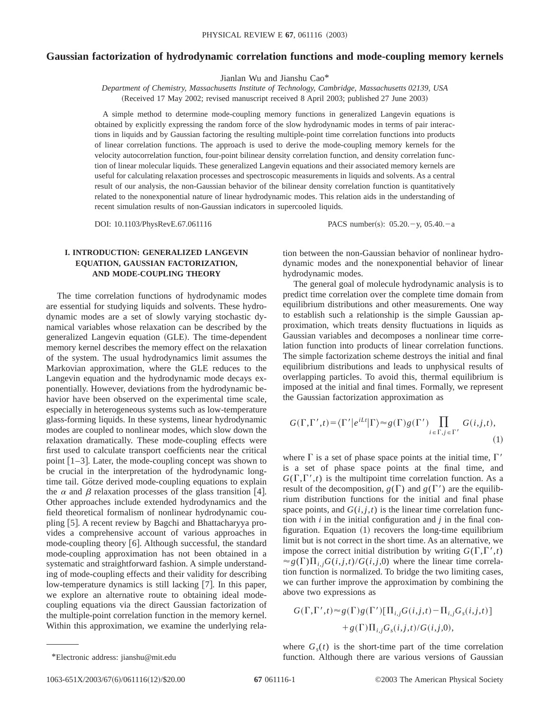# **Gaussian factorization of hydrodynamic correlation functions and mode-coupling memory kernels**

Jianlan Wu and Jianshu Cao\*

*Department of Chemistry, Massachusetts Institute of Technology, Cambridge, Massachusetts 02139, USA* (Received 17 May 2002; revised manuscript received 8 April 2003; published 27 June 2003)

A simple method to determine mode-coupling memory functions in generalized Langevin equations is obtained by explicitly expressing the random force of the slow hydrodynamic modes in terms of pair interactions in liquids and by Gaussian factoring the resulting multiple-point time correlation functions into products of linear correlation functions. The approach is used to derive the mode-coupling memory kernels for the velocity autocorrelation function, four-point bilinear density correlation function, and density correlation function of linear molecular liquids. These generalized Langevin equations and their associated memory kernels are useful for calculating relaxation processes and spectroscopic measurements in liquids and solvents. As a central result of our analysis, the non-Gaussian behavior of the bilinear density correlation function is quantitatively related to the nonexponential nature of linear hydrodynamic modes. This relation aids in the understanding of recent simulation results of non-Gaussian indicators in supercooled liquids.

DOI: 10.1103/PhysRevE.67.061116 PACS number(s): 05.20.-y, 05.40.-a

# **I. INTRODUCTION: GENERALIZED LANGEVIN EQUATION, GAUSSIAN FACTORIZATION, AND MODE-COUPLING THEORY**

The time correlation functions of hydrodynamic modes are essential for studying liquids and solvents. These hydrodynamic modes are a set of slowly varying stochastic dynamical variables whose relaxation can be described by the generalized Langevin equation (GLE). The time-dependent memory kernel describes the memory effect on the relaxation of the system. The usual hydrodynamics limit assumes the Markovian approximation, where the GLE reduces to the Langevin equation and the hydrodynamic mode decays exponentially. However, deviations from the hydrodynamic behavior have been observed on the experimental time scale, especially in heterogeneous systems such as low-temperature glass-forming liquids. In these systems, linear hydrodynamic modes are coupled to nonlinear modes, which slow down the relaxation dramatically. These mode-coupling effects were first used to calculate transport coefficients near the critical point  $[1-3]$ . Later, the mode-coupling concept was shown to be crucial in the interpretation of the hydrodynamic longtime tail. Götze derived mode-coupling equations to explain the  $\alpha$  and  $\beta$  relaxation processes of the glass transition [4]. Other approaches include extended hydrodynamics and the field theoretical formalism of nonlinear hydrodynamic coupling [5]. A recent review by Bagchi and Bhattacharyya provides a comprehensive account of various approaches in mode-coupling theory  $[6]$ . Although successful, the standard mode-coupling approximation has not been obtained in a systematic and straightforward fashion. A simple understanding of mode-coupling effects and their validity for describing low-temperature dynamics is still lacking  $[7]$ . In this paper, we explore an alternative route to obtaining ideal modecoupling equations via the direct Gaussian factorization of the multiple-point correlation function in the memory kernel. Within this approximation, we examine the underlying relation between the non-Gaussian behavior of nonlinear hydrodynamic modes and the nonexponential behavior of linear hydrodynamic modes.

The general goal of molecule hydrodynamic analysis is to predict time correlation over the complete time domain from equilibrium distributions and other measurements. One way to establish such a relationship is the simple Gaussian approximation, which treats density fluctuations in liquids as Gaussian variables and decomposes a nonlinear time correlation function into products of linear correlation functions. The simple factorization scheme destroys the initial and final equilibrium distributions and leads to unphysical results of overlapping particles. To avoid this, thermal equilibrium is imposed at the initial and final times. Formally, we represent the Gaussian factorization approximation as

$$
G(\Gamma, \Gamma', t) = \langle \Gamma' | e^{iLt} | \Gamma \rangle \approx g(\Gamma) g(\Gamma') \prod_{i \in \Gamma, j \in \Gamma'} G(i, j, t),
$$
\n(1)

where  $\Gamma$  is a set of phase space points at the initial time,  $\Gamma'$ is a set of phase space points at the final time, and  $G(\Gamma,\Gamma',t)$  is the multipoint time correlation function. As a result of the decomposition,  $g(\Gamma)$  and  $g(\Gamma')$  are the equilibrium distribution functions for the initial and final phase space points, and  $G(i, j, t)$  is the linear time correlation function with *i* in the initial configuration and *j* in the final configuration. Equation  $(1)$  recovers the long-time equilibrium limit but is not correct in the short time. As an alternative, we impose the correct initial distribution by writing  $G(\Gamma,\Gamma',t)$  $\approx g(\Gamma)\prod_{i,j}G(i,j,t)/G(i,j,0)$  where the linear time correlation function is normalized. To bridge the two limiting cases, we can further improve the approximation by combining the above two expressions as

$$
G(\Gamma, \Gamma', t) \approx g(\Gamma)g(\Gamma')[\Pi_{i,j}G(i,j,t) - \Pi_{i,j}G_s(i,j,t)]
$$
  
+ 
$$
g(\Gamma)\Pi_{i,j}G_s(i,j,t)/G(i,j,0),
$$

where  $G<sub>s</sub>(t)$  is the short-time part of the time correlation \*Electronic address: jianshu@mit.edu function. Although there are various versions of Gaussian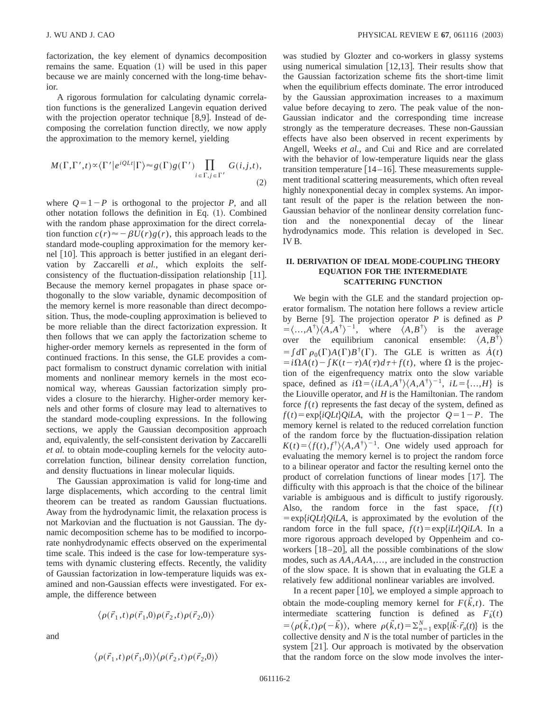factorization, the key element of dynamics decomposition remains the same. Equation  $(1)$  will be used in this paper because we are mainly concerned with the long-time behavior.

A rigorous formulation for calculating dynamic correlation functions is the generalized Langevin equation derived with the projection operator technique  $[8,9]$ . Instead of decomposing the correlation function directly, we now apply the approximation to the memory kernel, yielding

$$
M(\Gamma, \Gamma', t) \propto \langle \Gamma' | e^{iQLt} | \Gamma \rangle \approx g(\Gamma) g(\Gamma') \prod_{i \in \Gamma, j \in \Gamma'} G(i, j, t),
$$
\n(2)

where  $Q=1-P$  is orthogonal to the projector *P*, and all other notation follows the definition in Eq.  $(1)$ . Combined with the random phase approximation for the direct correlation function  $c(r) \approx -\beta U(r)g(r)$ , this approach leads to the standard mode-coupling approximation for the memory kernel [10]. This approach is better justified in an elegant derivation by Zaccarelli *et al.*, which exploits the selfconsistency of the fluctuation-dissipation relationship [11]. Because the memory kernel propagates in phase space orthogonally to the slow variable, dynamic decomposition of the memory kernel is more reasonable than direct decomposition. Thus, the mode-coupling approximation is believed to be more reliable than the direct factorization expression. It then follows that we can apply the factorization scheme to higher-order memory kernels as represented in the form of continued fractions. In this sense, the GLE provides a compact formalism to construct dynamic correlation with initial moments and nonlinear memory kernels in the most economical way, whereas Gaussian factorization simply provides a closure to the hierarchy. Higher-order memory kernels and other forms of closure may lead to alternatives to the standard mode-coupling expressions. In the following sections, we apply the Gaussian decomposition approach and, equivalently, the self-consistent derivation by Zaccarelli *et al.* to obtain mode-coupling kernels for the velocity autocorrelation function, bilinear density correlation function, and density fluctuations in linear molecular liquids.

The Gaussian approximation is valid for long-time and large displacements, which according to the central limit theorem can be treated as random Gaussian fluctuations. Away from the hydrodynamic limit, the relaxation process is not Markovian and the fluctuation is not Gaussian. The dynamic decomposition scheme has to be modified to incorporate nonhydrodynamic effects observed on the experimental time scale. This indeed is the case for low-temperature systems with dynamic clustering effects. Recently, the validity of Gaussian factorization in low-temperature liquids was examined and non-Gaussian effects were investigated. For example, the difference between

$$
\left\langle \rho(\vec{r}_1,t)\rho(\vec{r}_1,0)\rho(\vec{r}_2,t)\rho(\vec{r}_2,0) \right\rangle
$$

and

$$
\langle \rho(\vec{r}_1,t)\rho(\vec{r}_1,0)\rangle \langle \rho(\vec{r}_2,t)\rho(\vec{r}_2,0)\rangle
$$

was studied by Glozter and co-workers in glassy systems using numerical simulation  $[12,13]$ . Their results show that the Gaussian factorization scheme fits the short-time limit when the equilibrium effects dominate. The error introduced by the Gaussian approximation increases to a maximum value before decaying to zero. The peak value of the non-Gaussian indicator and the corresponding time increase strongly as the temperature decreases. These non-Gaussian effects have also been observed in recent experiments by Angell, Weeks *et al.*, and Cui and Rice and are correlated with the behavior of low-temperature liquids near the glass transition temperature  $[14–16]$ . These measurements supplement traditional scattering measurements, which often reveal highly nonexponential decay in complex systems. An important result of the paper is the relation between the non-Gaussian behavior of the nonlinear density correlation function and the nonexponential decay of the linear hydrodynamics mode. This relation is developed in Sec. IV B.

## **II. DERIVATION OF IDEAL MODE-COUPLING THEORY EQUATION FOR THE INTERMEDIATE SCATTERING FUNCTION**

We begin with the GLE and the standard projection operator formalism. The notation here follows a review article by Berne [9]. The projection operator  $P$  is defined as  $P$  $=\langle ... , A^{\dagger} \rangle \langle A, A^{\dagger} \rangle^{-1}$ , where  $\langle A, B^{\dagger} \rangle$  is the average over the equilibrium canonical ensemble:  $\langle A, B^{\dagger} \rangle$  $= \int d\Gamma \rho_0(\Gamma) A(\Gamma) B^{\dagger}(\Gamma)$ . The GLE is written as  $\dot{A}(t)$  $\int \frac{f(x)}{f(x)} dx$  *f*  $f(t) - \int K(t-\tau)A(\tau)d\tau + f(t)$ , where  $\Omega$  is the projection of the eigenfrequency matrix onto the slow variable space, defined as  $i\Omega = \langle iLA, A^{\dagger} \rangle \langle A, A^{\dagger} \rangle^{-1}$ ,  $iL = \{...,H\}$  is the Liouville operator, and *H* is the Hamiltonian. The random force  $f(t)$  represents the fast decay of the system, defined as  $f(t) = \exp{iQLt}QiLA$ , with the projector  $Q=1-P$ . The memory kernel is related to the reduced correlation function of the random force by the fluctuation-dissipation relation  $K(t) = \langle f(t), f^{\dagger} \rangle \langle A, A^{\dagger} \rangle^{-1}$ . One widely used approach for evaluating the memory kernel is to project the random force to a bilinear operator and factor the resulting kernel onto the product of correlation functions of linear modes  $[17]$ . The difficulty with this approach is that the choice of the bilinear variable is ambiguous and is difficult to justify rigorously. Also, the random force in the fast space,  $f(t)$  $= \exp{iQ}Lt$ <sub>2</sub>QiLA, is approximated by the evolution of the random force in the full space,  $f(t) = \exp\{iLt\}QiLA$ . In a more rigorous approach developed by Oppenheim and coworkers  $[18–20]$ , all the possible combinations of the slow modes, such as *AA*,*AAA*,..., are included in the construction of the slow space. It is shown that in evaluating the GLE a relatively few additional nonlinear variables are involved.

In a recent paper  $[10]$ , we employed a simple approach to obtain the mode-coupling memory kernel for  $F(\vec{k},t)$ . The intermediate scattering function is defined as  $F_k^*(t)$  $= \langle \rho(\vec{k},t)\rho(-\vec{k}) \rangle$ , where  $\rho(\vec{k},t) = \sum_{n=1}^{N} \exp\{i\vec{k}\cdot\vec{r}_n(t)\}$  is the collective density and *N* is the total number of particles in the system  $[21]$ . Our approach is motivated by the observation that the random force on the slow mode involves the inter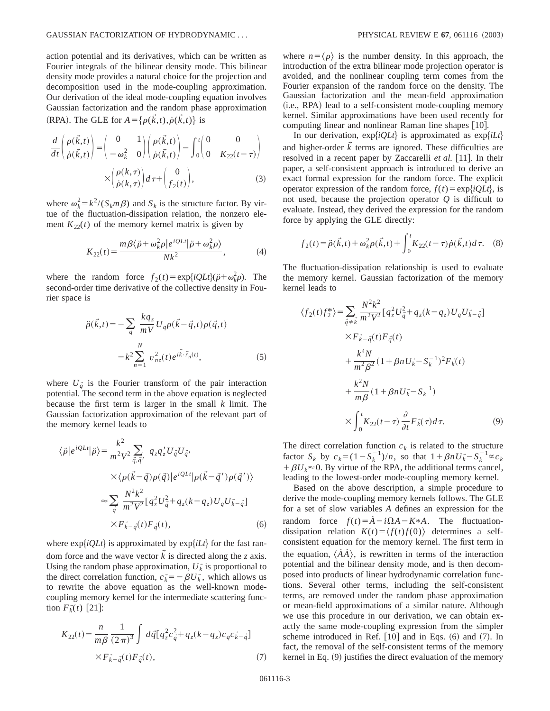action potential and its derivatives, which can be written as Fourier integrals of the bilinear density mode. This bilinear density mode provides a natural choice for the projection and decomposition used in the mode-coupling approximation. Our derivation of the ideal mode-coupling equation involves Gaussian factorization and the random phase approximation (RPA). The GLE for  $A = {\rho(\vec{k},t), \dot{\rho}(\vec{k},t)}$  is

$$
\frac{d}{dt} \begin{pmatrix} \rho(\vec{k},t) \\ \dot{\rho}(\vec{k},t) \end{pmatrix} = \begin{pmatrix} 0 & 1 \\ -\omega_k^2 & 0 \end{pmatrix} \begin{pmatrix} \rho(\vec{k},t) \\ \dot{\rho}(\vec{k},t) \end{pmatrix} - \int_0^t \begin{pmatrix} 0 & 0 \\ 0 & K_{22}(t-\tau) \end{pmatrix}
$$

$$
\times \begin{pmatrix} \rho(k,\tau) \\ \dot{\rho}(k,\tau) \end{pmatrix} d\tau + \begin{pmatrix} 0 \\ f_2(t) \end{pmatrix},
$$
(3)

where  $\omega_k^2 = k^2/(S_k m \beta)$  and  $S_k$  is the structure factor. By virtue of the fluctuation-dissipation relation, the nonzero element  $K_{22}(t)$  of the memory kernel matrix is given by

$$
K_{22}(t) = \frac{m\beta\langle\ddot{\rho} + \omega_k^2 \rho|e^{iQLt}|\ddot{\rho} + \omega_k^2 \rho\rangle}{Nk^2},
$$
 (4)

where the random force  $f_2(t) = \exp\{iQLt\}(\ddot{\rho} + \omega_k^2 \rho)$ . The second-order time derivative of the collective density in Fourier space is

$$
\ddot{\rho}(\vec{k},t) = -\sum_{q} \frac{kq_z}{mV} U_q \rho(\vec{k}-\vec{q},t) \rho(\vec{q},t) \n- k^2 \sum_{n=1}^{N} v_{nz}^2(t) e^{i\vec{k}\cdot\vec{r}_n(t)},
$$
\n(5)

where  $U_{\vec{q}}$  is the Fourier transform of the pair interaction potential. The second term in the above equation is neglected because the first term is larger in the small *k* limit. The Gaussian factorization approximation of the relevant part of the memory kernel leads to

$$
\langle \ddot{\rho} | e^{iQLt} | \ddot{\rho} \rangle = \frac{k^2}{m^2 V^2} \sum_{\vec{q}, \vec{q'}} q_z q_z' U_{\vec{q}} U_{\vec{q}}.
$$
  
 
$$
\times \langle \rho(\vec{k} - \vec{q}) \rho(\vec{q}) | e^{iQLt} | \rho(\vec{k} - \vec{q'}) \rho(\vec{q'}) \rangle
$$
  

$$
\approx \sum_{\vec{q}} \frac{N^2 k^2}{m^2 V^2} [q_z^2 U_{\vec{q}}^2 + q_z (k - q_z) U_q U_{\vec{k} - \vec{q}}]
$$
  

$$
\times F_{\vec{k} - \vec{q}}(t) F_{\vec{q}}(t),
$$
 (6)

where  $\exp{iQLt}$  is approximated by  $\exp{iLt}$  for the fast random force and the wave vector  $\vec{k}$  is directed along the *z* axis. Using the random phase approximation,  $U_k^*$  is proportional to the direct correlation function,  $c_k = -\beta U_k$ , which allows us to rewrite the above equation as the well-known modecoupling memory kernel for the intermediate scattering func- $\lim F_k^*(t)$  [21]:

$$
K_{22}(t) = \frac{n}{m\beta} \frac{1}{(2\pi)^3} \int d\vec{q} [q_z^2 c_{\vec{q}}^2 + q_z (k - q_z) c_q c_{\vec{k} - \vec{q}}]
$$
  
 
$$
\times F_{\vec{k} - \vec{q}}(t) F_{\vec{q}}(t),
$$
 (7)

where  $n=\langle \rho \rangle$  is the number density. In this approach, the introduction of the extra bilinear mode projection operator is avoided, and the nonlinear coupling term comes from the Fourier expansion of the random force on the density. The Gaussian factorization and the mean-field approximation (i.e., RPA) lead to a self-consistent mode-coupling memory kernel. Similar approximations have been used recently for computing linear and nonlinear Raman line shapes  $[10]$ .

In our derivation,  $exp{iQLt}$  is approximated as  $exp{iLt}$ and higher-order  $\vec{k}$  terms are ignored. These difficulties are resolved in a recent paper by Zaccarelli *et al.* [11]. In their paper, a self-consistent approach is introduced to derive an exact formal expression for the random force. The explicit operator expression of the random force,  $f(t) = \exp\{iQLt\}$ , is not used, because the projection operator *Q* is difficult to evaluate. Instead, they derived the expression for the random force by applying the GLE directly:

$$
f_2(t) = \ddot{\rho}(\vec{k}, t) + \omega_k^2 \rho(\vec{k}, t) + \int_0^t K_{22}(t - \tau) \dot{\rho}(\vec{k}, t) d\tau.
$$
 (8)

The fluctuation-dissipation relationship is used to evaluate the memory kernel. Gaussian factorization of the memory kernel leads to

$$
\langle f_2(t)f_2^* \rangle = \sum_{\vec{q} \neq \vec{k}} \frac{N^2 k^2}{m^2 V^2} [q_z^2 U_{\vec{q}}^2 + q_z (k - q_z) U_q U_{\vec{k} - \vec{q}}] \times F_{\vec{k} - \vec{q}}(t) F_{\vec{q}}(t) \n+ \frac{k^4 N}{m^2 \beta^2} (1 + \beta n U_{\vec{k}}^2 - S_k^{-1})^2 F_{\vec{k}}(t) \n+ \frac{k^2 N}{m \beta} (1 + \beta n U_{\vec{k}}^2 - S_k^{-1}) \n\times \int_0^t K_{22}(t - \tau) \frac{\partial}{\partial t} F_{\vec{k}}(\tau) d\tau.
$$
\n(9)

The direct correlation function  $c_k$  is related to the structure factor  $S_k$  by  $c_k = (1 - S_k^{-1})/n$ , so that  $1 + \beta n U_k - S_k^{-1} \propto c_k$  $+\beta U_k \approx 0$ . By virtue of the RPA, the additional terms cancel, leading to the lowest-order mode-coupling memory kernel.

Based on the above description, a simple procedure to derive the mode-coupling memory kernels follows. The GLE for a set of slow variables *A* defines an expression for the random force  $f(t) = \dot{A} - i\Omega A - K*A$ . The fluctuationdissipation relation  $K(t) = \langle f(t)f(0) \rangle$  determines a selfconsistent equation for the memory kernel. The first term in the equation,  $\langle \dot{A} \dot{A} \rangle$ , is rewritten in terms of the interaction potential and the bilinear density mode, and is then decomposed into products of linear hydrodynamic correlation functions. Several other terms, including the self-consistent terms, are removed under the random phase approximation or mean-field approximations of a similar nature. Although we use this procedure in our derivation, we can obtain exactly the same mode-coupling expression from the simpler scheme introduced in Ref.  $[10]$  and in Eqs.  $(6)$  and  $(7)$ . In fact, the removal of the self-consistent terms of the memory kernel in Eq.  $(9)$  justifies the direct evaluation of the memory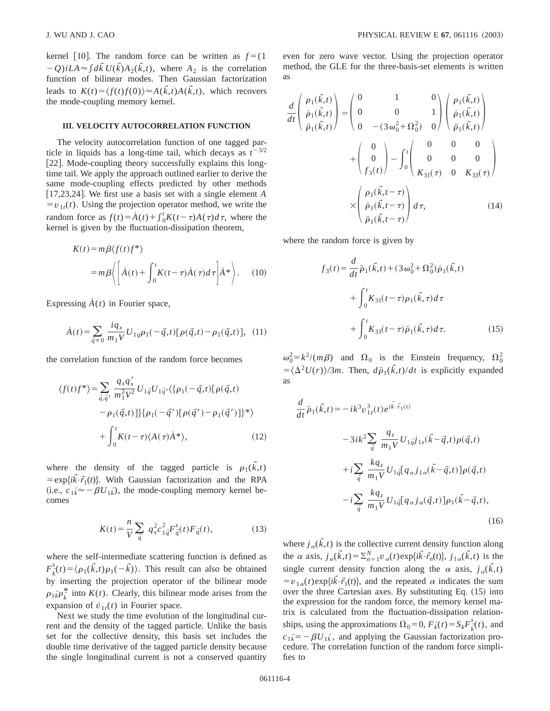kernel [10]. The random force can be written as  $f = (1$  $-Q$ )*iLA* $\approx \int d\vec{k} U(\vec{k}) A_2(\vec{k},t)$ , where  $A_2$  is the correlation function of bilinear modes. Then Gaussian factorization leads to  $K(t) = \langle f(t)f(0) \rangle \approx A(\vec{k},t)A(\vec{k},t)$ , which recovers the mode-coupling memory kernel.

## **III. VELOCITY AUTOCORRELATION FUNCTION**

The velocity autocorrelation function of one tagged particle in liquids has a long-time tail, which decays as  $t^{-3/2}$ [22]. Mode-coupling theory successfully explains this longtime tail. We apply the approach outlined earlier to derive the same mode-coupling effects predicted by other methods  $[17,23,24]$ . We first use a basis set with a single element *A*  $= v_{1t}(t)$ . Using the projection operator method, we write the random force as  $f(t) = \dot{A}(t) + \int_0^t K(t-\tau)A(\tau)d\tau$ , where the kernel is given by the fluctuation-dissipation theorem,

$$
K(t) = m\beta \langle f(t)f^* \rangle
$$
  
=  $m\beta \langle \left[ \dot{A}(t) + \int_0^t K(t-\tau)\dot{A}(\tau)d\tau \right] \dot{A}^* \rangle.$  (10)

Expressing  $\dot{A}(t)$  in Fourier space,

$$
\dot{A}(t) = \sum_{\vec{q}\neq 0} \frac{iq_x}{m_1 V} U_{1q} \rho_1(-\vec{q}, t) [\rho(\vec{q}, t) - \rho_1(\vec{q}, t)], \tag{11}
$$

the correlation function of the random force becomes

$$
\langle f(t)f^*\rangle = \sum_{\vec{q},\vec{q}'} \frac{q_x q'_x}{m_1^2 V^2} U_{1\vec{q}} U_{1\vec{q}'} \langle \{ \rho_1(-\vec{q},t) [\rho(\vec{q},t) - \rho_1(\vec{q},t)] \} \{ \rho_1(-\vec{q}') [\rho(\vec{q}') - \rho_1(\vec{q}')] \}^* \rangle
$$
  
+ 
$$
\int_0^t K(t-\tau) \langle A(\tau) \dot{A}^* \rangle, \qquad (12)
$$

where the density of the tagged particle is  $\rho_1(\vec{k},t)$  $= \exp{i\vec{k}\cdot\vec{r}_1(t)}$ . With Gaussian factorization and the RPA (i.e.,  $c_{1k} \approx -\beta U_{1k}$ ), the mode-coupling memory kernel becomes

$$
K(t) = \frac{n}{V} \sum_{\vec{q}} q_x^2 c_{1\vec{q}}^2 F_{\vec{q}}^s(t) F_{\vec{q}}(t),
$$
 (13)

where the self-intermediate scattering function is defined as  $F_{\vec{k}}^{s}(t) = \langle \rho_1(\vec{k},t) \rho_1(-\vec{k}) \rangle$ . This result can also be obtained by inserting the projection operator of the bilinear mode  $\rho_{1k} \rho_k^*$  into  $K(t)$ . Clearly, this bilinear mode arises from the expansion of  $\dot{v}_{1t}(t)$  in Fourier space.

Next we study the time evolution of the longitudinal current and the density of the tagged particle. Unlike the basis set for the collective density, this basis set includes the double time derivative of the tagged particle density because the single longitudinal current is not a conserved quantity even for zero wave vector. Using the projection operator method, the GLE for the three-basis-set elements is written as

$$
\frac{d}{dt} \begin{pmatrix} \rho_1(\vec{k},t) \\ \dot{\rho}_1(\vec{k},t) \\ \ddot{\rho}_1(\vec{k},t) \end{pmatrix} = \begin{pmatrix} 0 & 1 & 0 \\ 0 & 0 & 1 \\ 0 & -(3\omega_0^2 + \Omega_0^2) & 0 \end{pmatrix} \begin{pmatrix} \rho_1(\vec{k},t) \\ \dot{\rho}_1(\vec{k},t) \\ \ddot{\rho}_1(\vec{k},t) \end{pmatrix} + \begin{pmatrix} 0 & 0 & 0 \\ 0 \\ f_3(t) \end{pmatrix} - \int_0^t \begin{pmatrix} 0 & 0 & 0 \\ 0 & 0 & 0 \\ K_{31}(\tau) & 0 & K_{33}(\tau) \end{pmatrix}
$$

$$
\times \begin{pmatrix} \rho_1(\vec{k},t-\tau) \\ \dot{\rho}_1(\vec{k},t-\tau) \\ \ddot{\rho}_1(\vec{k},t-\tau) \end{pmatrix} d\tau, \qquad (14)
$$

where the random force is given by

$$
f_3(t) = \frac{d}{dt} \ddot{p}_1(\vec{k}, t) + (3 \omega_0^2 + \Omega_0^2) \dot{p}_1(\vec{k}, t)
$$
  
+ 
$$
\int_0^t K_{31}(t - \tau) p_1(\vec{k}, \tau) d\tau
$$
  
+ 
$$
\int_0^t K_{33}(t - \tau) \ddot{p}_1(\vec{k}, \tau) d\tau.
$$
 (15)

 $\omega_0^2 = k^2/(m\beta)$  and  $\Omega_0$  is the Einstein frequency,  $\Omega_0^2$  $= \langle \Delta^2 U(r) \rangle / 3m$ . Then,  $d\ddot{\rho}_1(\vec{k},t)/dt$  is explicitly expanded as

$$
\frac{d}{dt}\ddot{\rho}_{1}(\vec{k},t) = -ik^{3}v_{1z}^{3}(t)e^{i\vec{k}\cdot\vec{r}_{1}(t)} \n-3ik^{2}\sum_{\vec{q}}\frac{q_{z}}{m_{1}V}U_{1\vec{q}}j_{1z}(\vec{k}-\vec{q},t)\rho(\vec{q},t) \n+ i\sum_{\vec{q}}\frac{kq_{z}}{m_{1}V}U_{1\vec{q}}[q_{\alpha}j_{1\alpha}(\vec{k}-\vec{q},t)]\rho(\vec{q},t) \n- i\sum_{\vec{q}}\frac{kq_{z}}{m_{1}V}U_{1\vec{q}}[q_{\alpha}j_{\alpha}(\vec{q},t)]\rho_{1}(\vec{k}-\vec{q},t),
$$
\n(16)

where  $j_{\alpha}(\vec{k},t)$  is the collective current density function along the  $\alpha$  axis,  $j_{\alpha}(\vec{k},t) = \sum_{n=1}^{N} v_{\alpha}(t) \exp{\{i\vec{k}\cdot\vec{r}_{n}(t)\}}, j_{1\alpha}(\vec{k},t)$  is the single current density function along the  $\alpha$  axis,  $j_{\alpha}(\vec{k},t)$  $=v_{1\alpha}(t) \exp{\{i\vec{k} \cdot \vec{r}_1(t)\}}$ , and the repeated  $\alpha$  indicates the sum over the three Cartesian axes. By substituting Eq.  $(15)$  into the expression for the random force, the memory kernel matrix is calculated from the fluctuation-dissipation relationships, using the approximations  $\Omega_0 = 0$ ,  $F_k^*(t) = S_k F_k^s(t)$ , and  $c_{1k} = -\beta U_{1k}$ , and applying the Gaussian factorization procedure. The correlation function of the random force simplifies to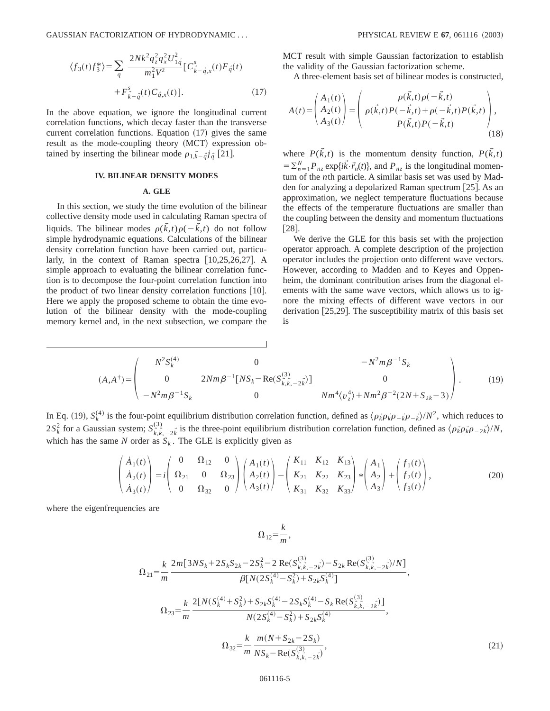GAUSSIAN FACTORIZATION OF HYDRODYNAMIC . . . PHYSICAL REVIEW E **67**, 061116 ~2003!

$$
\langle f_3(t)f_3^* \rangle = \sum_{q} \frac{2Nk^2 q_z^2 q_x^2 U_{1\vec{q}}^2}{m_1^2 V^2} \left[ C_{\vec{k} - \vec{q},x}^s(t) F_{\vec{q}}(t) + F_{\vec{k} - \vec{q}}^s(t) C_{\vec{q},x}(t) \right].
$$
\n(17)

In the above equation, we ignore the longitudinal current correlation functions, which decay faster than the transverse current correlation functions. Equation  $(17)$  gives the same result as the mode-coupling theory (MCT) expression obtained by inserting the bilinear mode  $\rho_{1,\vec{k}-\vec{q}}j_{\vec{q}}$  [21].

## **IV. BILINEAR DENSITY MODES**

## **A. GLE**

In this section, we study the time evolution of the bilinear collective density mode used in calculating Raman spectra of liquids. The bilinear modes  $\rho(\vec{k},t)\rho(-\vec{k},t)$  do not follow simple hydrodynamic equations. Calculations of the bilinear density correlation function have been carried out, particularly, in the context of Raman spectra  $[10,25,26,27]$ . A simple approach to evaluating the bilinear correlation function is to decompose the four-point correlation function into the product of two linear density correlation functions  $[10]$ . Here we apply the proposed scheme to obtain the time evolution of the bilinear density with the mode-coupling memory kernel and, in the next subsection, we compare the MCT result with simple Gaussian factorization to establish the validity of the Gaussian factorization scheme.

A three-element basis set of bilinear modes is constructed,

$$
A(t) = \begin{pmatrix} A_1(t) \\ A_2(t) \\ A_3(t) \end{pmatrix} = \begin{pmatrix} \rho(\vec{k},t)\rho(-\vec{k},t) \\ \rho(\vec{k},t)P(-\vec{k},t) + \rho(-\vec{k},t)P(\vec{k},t) \\ P(\vec{k},t)P(-\vec{k},t) \end{pmatrix},
$$
\n(18)

where  $P(\vec{k},t)$  is the momentum density function,  $P(\vec{k},t)$  $= \sum_{n=1}^{N} P_{nz} \exp{\{i\vec{k} \cdot \vec{r}_n(t)\}}$ , and  $P_{nz}$  is the longitudinal momentum of the *n*th particle. A similar basis set was used by Madden for analyzing a depolarized Raman spectrum  $[25]$ . As an approximation, we neglect temperature fluctuations because the effects of the temperature fluctuations are smaller than the coupling between the density and momentum fluctuations  $\lceil 28 \rceil$ .

We derive the GLE for this basis set with the projection operator approach. A complete description of the projection operator includes the projection onto different wave vectors. However, according to Madden and to Keyes and Oppenheim, the dominant contribution arises from the diagonal elements with the same wave vectors, which allows us to ignore the mixing effects of different wave vectors in our derivation  $[25,29]$ . The susceptibility matrix of this basis set is

$$
(A, A^{\dagger}) = \begin{pmatrix} N^2 S_k^{(4)} & 0 & -N^2 m \beta^{-1} S_k \\ 0 & 2N m \beta^{-1} [N S_k - \text{Re}(S_{k,k, -2k}^{(3)})] & 0 \\ -N^2 m \beta^{-1} S_k & 0 & N m^4 \langle v_z^4 \rangle + N m^2 \beta^{-2} (2N + S_{2k} - 3) \end{pmatrix} .
$$
 (19)

In Eq. (19),  $S_k^{(4)}$  is the four-point equilibrium distribution correlation function, defined as  $\langle \rho_k^* \rho_k^* \rho_{-k}^* \rho_{-k}^* \rangle/N^2$ , which reduces to 2*S*<sup>2</sup><sub>*k*</sub> for a Gaussian system;  $S^{(3)}_{\vec{k},\vec{k},-2\vec{k}}$  is the three-point equilibrium distribution correlation function, defined as  $\langle \rho_{\vec{k}} \rho_{\vec{k}} \rho_{-2\vec{k}} \rangle/N$ , which has the same *N* order as  $S_k$ . The GLE is explicitly given as

 $\overline{1}$ 

$$
\begin{pmatrix} \dot{A}_1(t) \\ \dot{A}_2(t) \\ \dot{A}_3(t) \end{pmatrix} = i \begin{pmatrix} 0 & \Omega_{12} & 0 \\ \Omega_{21} & 0 & \Omega_{23} \\ 0 & \Omega_{32} & 0 \end{pmatrix} \begin{pmatrix} A_1(t) \\ A_2(t) \\ A_3(t) \end{pmatrix} - \begin{pmatrix} K_{11} & K_{12} & K_{13} \\ K_{21} & K_{22} & K_{23} \\ K_{31} & K_{32} & K_{33} \end{pmatrix} * \begin{pmatrix} A_1 \\ A_2 \\ A_3 \end{pmatrix} + \begin{pmatrix} f_1(t) \\ f_2(t) \\ f_3(t) \end{pmatrix},
$$
(20)

where the eigenfrequencies are

$$
\Omega_{12} = \frac{k}{m},
$$

$$
\Omega_{21} = \frac{k}{m} \frac{2m[3NS_{k}+2S_{k}S_{2k}-2S_{k}^{2}-2\operatorname{Re}(S_{k,k,-2k}^{(3)})-S_{2k}\operatorname{Re}(S_{k,k,-2k}^{(3)})/N]}{\beta[N(2S_{k}^{(4)}-S_{k}^{2})+S_{2k}S_{k}^{(4)}]}
$$
\n
$$
\Omega_{23} = \frac{k}{m} \frac{2[N(S_{k}^{(4)}+S_{k}^{2})+S_{2k}S_{k}^{(4)}-2S_{k}S_{k}^{(4)}-S_{k}\operatorname{Re}(S_{k,k,-2k}^{(3)})]}{N(2S_{k}^{(4)}-S_{k}^{2})+S_{2k}S_{k}^{(4)}},
$$
\n
$$
\Omega_{32} = \frac{k}{m} \frac{m(N+S_{2k}-2S_{k})}{NS_{k}-\operatorname{Re}(S_{k,k,-2k}^{(3)})},
$$
\n(21)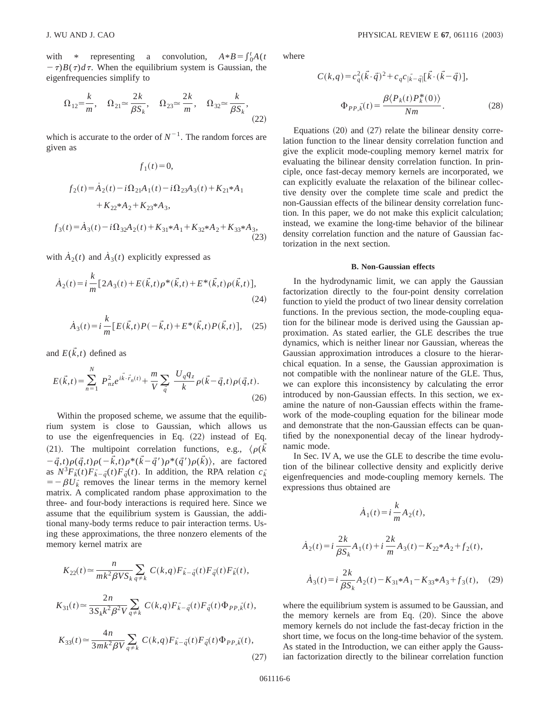with \* representing a convolution,  $A*B = \int_0^t A(t)dt$  $-\tau)B(\tau)d\tau$ . When the equilibrium system is Gaussian, the eigenfrequencies simplify to

$$
\Omega_{12} = \frac{k}{m}, \quad \Omega_{21} \approx \frac{2k}{\beta S_k}, \quad \Omega_{23} \approx \frac{2k}{m}, \quad \Omega_{32} \approx \frac{k}{\beta S_k}, \tag{22}
$$

which is accurate to the order of  $N^{-1}$ . The random forces are given as

$$
f_1(t) = 0,
$$
  
\n
$$
f_2(t) = \dot{A}_2(t) - i\Omega_{21}A_1(t) - i\Omega_{23}A_3(t) + K_{21} * A_1
$$
  
\n
$$
+ K_{22} * A_2 + K_{23} * A_3,
$$
  
\n
$$
f_3(t) = \dot{A}_3(t) - i\Omega_{32}A_2(t) + K_{31} * A_1 + K_{32} * A_2 + K_{33} * A_3,
$$
  
\n(23)

with  $A_2(t)$  and  $A_3(t)$  explicitly expressed as

$$
\dot{A}_2(t) = i \frac{k}{m} \left[ 2A_3(t) + E(\vec{k}, t) \rho^*(\vec{k}, t) + E^*(\vec{k}, t) \rho(\vec{k}, t) \right],\tag{24}
$$

$$
\dot{A}_3(t) = i \frac{k}{m} \left[ E(\vec{k},t) P(-\vec{k},t) + E^*(\vec{k},t) P(\vec{k},t) \right], \quad (25)
$$

and  $E(\vec{k},t)$  defined as

$$
E(\vec{k},t) = \sum_{n=1}^{N} P_{nz}^{2} e^{i\vec{k}\cdot\vec{r}_{n}(t)} + \frac{m}{V} \sum_{\vec{q}} \frac{U_{q}q_{z}}{k} \rho(\vec{k}-\vec{q},t)\rho(\vec{q},t). \tag{26}
$$

Within the proposed scheme, we assume that the equilibrium system is close to Gaussian, which allows us to use the eigenfrequencies in Eq.  $(22)$  instead of Eq. (21). The multipoint correlation functions, e.g.,  $\langle \rho(\vec{k})\rangle$  $-\vec{q},t\rho(\vec{q},t)\rho(-\vec{k},t)\rho^*(\vec{k}-\vec{q}')\rho^*(\vec{q}')\rho(\vec{k})$ , are factored as  $N^3 F_k^*(t) F_{k-q}^*(t) F_q^*(t)$ . In addition, the RPA relation  $c_k^*$  $=-\beta U_k^*$  removes the linear terms in the memory kernel matrix. A complicated random phase approximation to the three- and four-body interactions is required here. Since we assume that the equilibrium system is Gaussian, the additional many-body terms reduce to pair interaction terms. Using these approximations, the three nonzero elements of the memory kernel matrix are

$$
K_{22}(t) \approx \frac{n}{mk^2 \beta V S_k} \sum_{q \neq k} C(k,q) F_{k-q}^-(t) F_{\tilde{q}}(t) F_{k}^-(t),
$$
  
\n
$$
K_{31}(t) \approx \frac{2n}{3S_k k^2 \beta^2 V} \sum_{q \neq k} C(k,q) F_{k-q}^-(t) F_{\tilde{q}}(t) \Phi_{PP,\tilde{k}}(t),
$$
  
\n
$$
K_{33}(t) \approx \frac{4n}{3mk^2 \beta V} \sum_{q \neq k} C(k,q) F_{k-q}^-(t) F_{\tilde{q}}(t) \Phi_{PP,\tilde{k}}(t),
$$
\n(27)

where

$$
C(k,q) = c_q^2(\vec{k} \cdot \vec{q})^2 + c_q c_{|\vec{k} - \vec{q}|} [\vec{k} \cdot (\vec{k} - \vec{q})],
$$
  

$$
\Phi_{PP,\vec{k}}(t) = \frac{\beta \langle P_k(t) P_k^*(0) \rangle}{Nm}.
$$
 (28)

Equations  $(20)$  and  $(27)$  relate the bilinear density correlation function to the linear density correlation function and give the explicit mode-coupling memory kernel matrix for evaluating the bilinear density correlation function. In principle, once fast-decay memory kernels are incorporated, we can explicitly evaluate the relaxation of the bilinear collective density over the complete time scale and predict the non-Gaussian effects of the bilinear density correlation function. In this paper, we do not make this explicit calculation; instead, we examine the long-time behavior of the bilinear density correlation function and the nature of Gaussian factorization in the next section.

#### **B. Non-Gaussian effects**

In the hydrodynamic limit, we can apply the Gaussian factorization directly to the four-point density correlation function to yield the product of two linear density correlation functions. In the previous section, the mode-coupling equation for the bilinear mode is derived using the Gaussian approximation. As stated earlier, the GLE describes the true dynamics, which is neither linear nor Gaussian, whereas the Gaussian approximation introduces a closure to the hierarchical equation. In a sense, the Gaussian approximation is not compatible with the nonlinear nature of the GLE. Thus, we can explore this inconsistency by calculating the error introduced by non-Gaussian effects. In this section, we examine the nature of non-Gaussian effects within the framework of the mode-coupling equation for the bilinear mode and demonstrate that the non-Gaussian effects can be quantified by the nonexponential decay of the linear hydrodynamic mode.

In Sec. IV A, we use the GLE to describe the time evolution of the bilinear collective density and explicitly derive eigenfrequencies and mode-coupling memory kernels. The expressions thus obtained are

$$
\dot{A}_1(t) = i \frac{k}{m} A_2(t),
$$
  

$$
\dot{A}_2(t) = i \frac{2k}{\beta S_k} A_1(t) + i \frac{2k}{m} A_3(t) - K_{22} * A_2 + f_2(t),
$$
  

$$
\dot{A}_3(t) = i \frac{2k}{\beta S_k} A_2(t) - K_{31} * A_1 - K_{33} * A_3 + f_3(t), \quad (29)
$$

where the equilibrium system is assumed to be Gaussian, and the memory kernels are from Eq.  $(20)$ . Since the above memory kernels do not include the fast-decay friction in the short time, we focus on the long-time behavior of the system. As stated in the Introduction, we can either apply the Gaussian factorization directly to the bilinear correlation function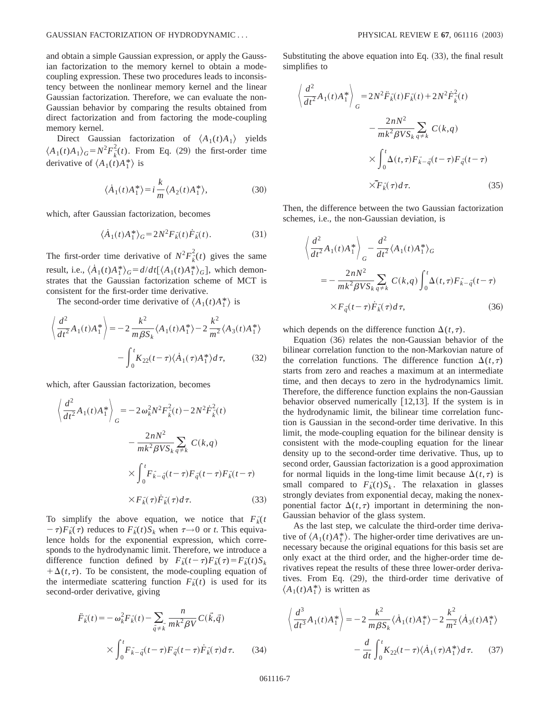and obtain a simple Gaussian expression, or apply the Gaussian factorization to the memory kernel to obtain a modecoupling expression. These two procedures leads to inconsistency between the nonlinear memory kernel and the linear Gaussian factorization. Therefore, we can evaluate the non-Gaussian behavior by comparing the results obtained from direct factorization and from factoring the mode-coupling memory kernel.

Direct Gaussian factorization of  $\langle A_1(t)A_1 \rangle$  yields  $\langle A_1(t)A_1 \rangle_G = N^2 F_k^2(t)$ . From Eq. (29) the first-order time derivative of  $\langle A_1(t)A_1^* \rangle$  is

$$
\langle \dot{A}_1(t) A_1^* \rangle = i \frac{k}{m} \langle A_2(t) A_1^* \rangle, \tag{30}
$$

which, after Gaussian factorization, becomes

$$
\langle \dot{A}_1(t) A_1^* \rangle_G = 2N^2 F_k^*(t) \dot{F}_k^*(t). \tag{31}
$$

The first-order time derivative of  $N^2 F_k^2(t)$  gives the same result, i.e.,  $\langle \dot{A}_1(t) A_1^* \rangle_G = d/dt [\langle A_1(t) A_1^* \rangle_G]$ , which demonstrates that the Gaussian factorization scheme of MCT is consistent for the first-order time derivative.

The second-order time derivative of  $\langle A_1(t)A_1^* \rangle$  is

$$
\left\langle \frac{d^2}{dt^2} A_1(t) A_1^* \right\rangle = -2 \frac{k^2}{m \beta S_k} \langle A_1(t) A_1^* \rangle - 2 \frac{k^2}{m^2} \langle A_3(t) A_1^* \rangle
$$

$$
- \int_0^t K_{22}(t - \tau) \langle A_1(\tau) A_1^* \rangle d\tau, \qquad (32)
$$

which, after Gaussian factorization, becomes

$$
\left\langle \frac{d^2}{dt^2} A_1(t) A_1^* \right\rangle_G = -2 \omega_k^2 N^2 F_{\vec{k}}^2(t) - 2N^2 \dot{F}_{\vec{k}}^2(t)
$$

$$
- \frac{2nN^2}{mk^2 \beta V S_k} \sum_{q \neq k} C(k, q)
$$

$$
\times \int_0^t F_{\vec{k} - \vec{q}}^* (t - \tau) F_{\vec{q}}^* (t - \tau) F_{\vec{k}}^* (t - \tau)
$$

$$
\times F_{\vec{k}}(\tau) \dot{F}_{\vec{k}}^* (\tau) d\tau.
$$
(33)

To simplify the above equation, we notice that  $F_{k}$ <sup> $\uparrow$ </sup>  $(\tau - \tau) F_k(\tau)$  reduces to  $F_k(t) S_k$  when  $\tau \rightarrow 0$  or *t*. This equivalence holds for the exponential expression, which corresponds to the hydrodynamic limit. Therefore, we introduce a difference function defined by  $F_{k}(t-\tau)F_{k}^{\tau}(\tau) = F_{k}(t)S_{k}$  $+\Delta(t,\tau)$ . To be consistent, the mode-coupling equation of the intermediate scattering function  $F_{k}(t)$  is used for its second-order derivative, giving

$$
\ddot{F}_{\vec{k}}(t) = -\omega_{\vec{k}}^2 F_{\vec{k}}(t) - \sum_{\vec{q} \neq \vec{k}} \frac{n}{mk^2 \beta V} C(\vec{k}, \vec{q})
$$

$$
\times \int_0^t F_{\vec{k} - \vec{q}}(t - \tau) F_{\vec{q}}(t - \tau) \dot{F}_{\vec{k}}(\tau) d\tau.
$$
(34)

Substituting the above equation into Eq.  $(33)$ , the final result simplifies to

$$
\left\langle \frac{d^2}{dt^2} A_1(t) A_1^* \right\rangle_G = 2N^2 \ddot{F}_{\vec{k}}(t) F_{\vec{k}}(t) + 2N^2 \dot{F}_{\vec{k}}^2(t)
$$

$$
- \frac{2nN^2}{mk^2 \beta V S_k} \sum_{q \neq k} C(k, q)
$$

$$
\times \int_0^t \Delta(t, \tau) F_{\vec{k} - \vec{q}}(t - \tau) F_{\vec{q}}(t - \tau)
$$

$$
\times \ddot{F}_{\vec{k}}(\tau) d\tau.
$$
(35)

Then, the difference between the two Gaussian factorization schemes, i.e., the non-Gaussian deviation, is

$$
\left\langle \frac{d^2}{dt^2} A_1(t) A_1^* \right\rangle_G - \frac{d^2}{dt^2} \langle A_1(t) A_1^* \rangle_G
$$
  

$$
= -\frac{2nN^2}{mk^2 \beta V S_k} \sum_{q \neq k} C(k,q) \int_0^t \Delta(t,\tau) F_{k-q}^-(t-\tau)
$$
  

$$
\times F_{\tilde{q}}(t-\tau) \dot{F}_{k}(\tau) d\tau,
$$
 (36)

which depends on the difference function  $\Delta(t,\tau)$ .

Equation  $(36)$  relates the non-Gaussian behavior of the bilinear correlation function to the non-Markovian nature of the correlation functions. The difference function  $\Delta(t,\tau)$ starts from zero and reaches a maximum at an intermediate time, and then decays to zero in the hydrodynamics limit. Therefore, the difference function explains the non-Gaussian behavior observed numerically  $[12,13]$ . If the system is in the hydrodynamic limit, the bilinear time correlation function is Gaussian in the second-order time derivative. In this limit, the mode-coupling equation for the bilinear density is consistent with the mode-coupling equation for the linear density up to the second-order time derivative. Thus, up to second order, Gaussian factorization is a good approximation for normal liquids in the long-time limit because  $\Delta(t,\tau)$  is small compared to  $F_k^*(t)S_k$ . The relaxation in glasses strongly deviates from exponential decay, making the nonexponential factor  $\Delta(t, \tau)$  important in determining the non-Gaussian behavior of the glass system.

As the last step, we calculate the third-order time derivative of  $\langle A_1(t)A_1^*\rangle$ . The higher-order time derivatives are unnecessary because the original equations for this basis set are only exact at the third order, and the higher-order time derivatives repeat the results of these three lower-order derivatives. From Eq.  $(29)$ , the third-order time derivative of  $\langle A_1(t)A_1^* \rangle$  is written as

$$
\left\langle \frac{d^3}{dt^3} A_1(t) A_1^* \right\rangle = -2 \frac{k^2}{m \beta S_k} \langle \dot{A}_1(t) A_1^* \rangle - 2 \frac{k^2}{m^2} \langle \dot{A}_3(t) A_1^* \rangle
$$

$$
- \frac{d}{dt} \int_0^t K_{22}(t - \tau) \langle \dot{A}_1(\tau) A_1^* \rangle d\tau. \tag{37}
$$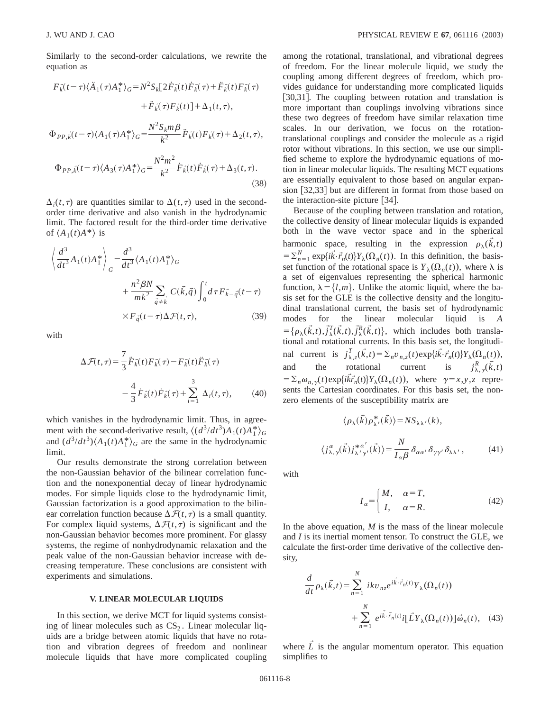Similarly to the second-order calculations, we rewrite the equation as

$$
F_{k}(t-\tau)\langle\ddot{A}_{1}(\tau)A_{1}^{*}\rangle_{G} = N^{2}S_{k}[2\dot{F}_{k}(t)\dot{F}_{k}(\tau)+\ddot{F}_{k}(t)F_{k}(\tau)+\ddot{F}_{k}(\tau)F_{k}(t)]+\Delta_{1}(t,\tau),
$$
  

$$
\Phi_{PP,k}(t-\tau)\langle A_{1}(\tau)A_{1}^{*}\rangle_{G} = \frac{N^{2}S_{k}m\beta}{k^{2}}\ddot{F}_{k}(t)F_{k}(\tau)+\Delta_{2}(t,\tau),
$$
  

$$
\Phi_{PP,k}(t-\tau)\langle A_{3}(\tau)A_{1}^{*}\rangle_{G} = \frac{N^{2}m^{2}}{k^{2}}\dot{F}_{k}(t)\dot{F}_{k}(\tau)+\Delta_{3}(t,\tau).
$$
\n(38)

 $\Delta_i(t,\tau)$  are quantities similar to  $\Delta(t,\tau)$  used in the secondorder time derivative and also vanish in the hydrodynamic limit. The factored result for the third-order time derivative of  $\langle A_1(t)A^*\rangle$  is

$$
\left\langle \frac{d^3}{dt^3} A_1(t) A_1^* \right\rangle_G = \frac{d^3}{dt^3} \langle A_1(t) A_1^* \rangle_G
$$
  
+ 
$$
\frac{n^2 \beta N}{mk^2} \sum_{\vec{q} \neq \vec{k}} C(\vec{k}, \vec{q}) \int_0^t d\tau F_{\vec{k} - \vec{q}}(t - \tau)
$$
  
×  $F_{\vec{q}}(t - \tau) \Delta \mathcal{F}(t, \tau)$ , (39)

with

$$
\Delta \mathcal{F}(t,\tau) = \frac{7}{3} \ddot{F}_{\vec{k}}(t) F_{\vec{k}}(\tau) - F_{\vec{k}}(t) \ddot{F}_{\vec{k}}(\tau)
$$

$$
- \frac{4}{3} \dot{F}_{\vec{k}}(t) \dot{F}_{\vec{k}}(\tau) + \sum_{i=1}^{3} \Delta_i(t,\tau), \qquad (40)
$$

which vanishes in the hydrodynamic limit. Thus, in agreement with the second-derivative result,  $\langle (d^3/dt^3)A_1(t)A_1^* \rangle_G$ and  $\left(d^3/dt^3\right)\left\langle A_1(t)A_1^*\right\rangle_G$  are the same in the hydrodynamic limit.

Our results demonstrate the strong correlation between the non-Gaussian behavior of the bilinear correlation function and the nonexponential decay of linear hydrodynamic modes. For simple liquids close to the hydrodynamic limit, Gaussian factorization is a good approximation to the bilinear correlation function because  $\Delta \mathcal{F}(t, \tau)$  is a small quantity. For complex liquid systems,  $\Delta \mathcal{F}(t, \tau)$  is significant and the non-Gaussian behavior becomes more prominent. For glassy systems, the regime of nonhydrodynamic relaxation and the peak value of the non-Gaussian behavior increase with decreasing temperature. These conclusions are consistent with experiments and simulations.

#### **V. LINEAR MOLECULAR LIQUIDS**

In this section, we derive MCT for liquid systems consisting of linear molecules such as  $CS_2$ . Linear molecular liquids are a bridge between atomic liquids that have no rotation and vibration degrees of freedom and nonlinear molecule liquids that have more complicated coupling among the rotational, translational, and vibrational degrees of freedom. For the linear molecule liquid, we study the coupling among different degrees of freedom, which provides guidance for understanding more complicated liquids [30,31]. The coupling between rotation and translation is more important than couplings involving vibrations since these two degrees of freedom have similar relaxation time scales. In our derivation, we focus on the rotationtranslational couplings and consider the molecule as a rigid rotor without vibrations. In this section, we use our simplified scheme to explore the hydrodynamic equations of motion in linear molecular liquids. The resulting MCT equations are essentially equivalent to those based on angular expansion  $[32,33]$  but are different in format from those based on the interaction-site picture  $[34]$ .

Because of the coupling between translation and rotation, the collective density of linear molecular liquids is expanded both in the wave vector space and in the spherical harmonic space, resulting in the expression  $\rho_{\lambda}(\vec{k},t)$  $=\sum_{n=1}^{N} \exp{\{i\vec{k}\cdot\vec{r}_n(t)\}} Y_{\lambda}(\Omega_n(t))$ . In this definition, the basisset function of the rotational space is  $Y_{\lambda}(\Omega_n(t))$ , where  $\lambda$  is a set of eigenvalues representing the spherical harmonic function,  $\lambda = \{l, m\}$ . Unlike the atomic liquid, where the basis set for the GLE is the collective density and the longitudinal translational current, the basis set of hydrodynamic modes for the linear molecular liquid is *A*  $=\{\rho_{\lambda}(\vec{k},t), \vec{j}_{\lambda}^T(\vec{k},t), \vec{j}_{\lambda}^R(\vec{k},t)\}\$ , which includes both translational and rotational currents. In this basis set, the longitudinal current is  $j_{\lambda,z}^T(\vec{k},t) = \sum_n v_{n,z}(t) \exp\{i\vec{k}\cdot\vec{r}_n(t)\} Y_\lambda(\Omega_n(t)),$ and the rotational current is  $j_{\lambda,\gamma}^R(\vec{k},t)$  $= \sum_{n} \omega_{n,\gamma}(t) \exp\{i\vec{k}\vec{r}_n(t)\} Y_{\lambda}(\Omega_n(t))$ , where  $\gamma = x, y, z$  represents the Cartesian coordinates. For this basis set, the nonzero elements of the susceptibility matrix are

$$
\langle \rho_{\lambda}(\vec{k}) \rho_{\lambda'}^*(\vec{k}) \rangle = N S_{\lambda \lambda'}(k),
$$
  

$$
\langle j_{\lambda,\gamma}^{\alpha}(\vec{k}) j_{\lambda'\gamma'}^{*\alpha'}(\vec{k}) \rangle = \frac{N}{I_{\alpha\beta}} \delta_{\alpha\alpha'} \delta_{\gamma\gamma'} \delta_{\lambda \lambda'},
$$
 (41)

with

$$
I_{\alpha} = \begin{cases} M, & \alpha = T, \\ I, & \alpha = R. \end{cases}
$$
 (42)

In the above equation,  $M$  is the mass of the linear molecule and *I* is its inertial moment tensor. To construct the GLE, we calculate the first-order time derivative of the collective density,

$$
\frac{d}{dt}\rho_{\lambda}(\vec{k},t) = \sum_{n=1}^{N} ikv_{nz}e^{i\vec{k}\cdot\vec{r}_{n}(t)}Y_{\lambda}(\Omega_{n}(t))
$$

$$
+\sum_{n=1}^{N} e^{i\vec{k}\cdot\vec{r}_{n}(t)}i[\vec{L}Y_{\lambda}(\Omega_{n}(t))] \vec{\omega}_{n}(t), \quad (43)
$$

where  $\tilde{L}$  is the angular momentum operator. This equation simplifies to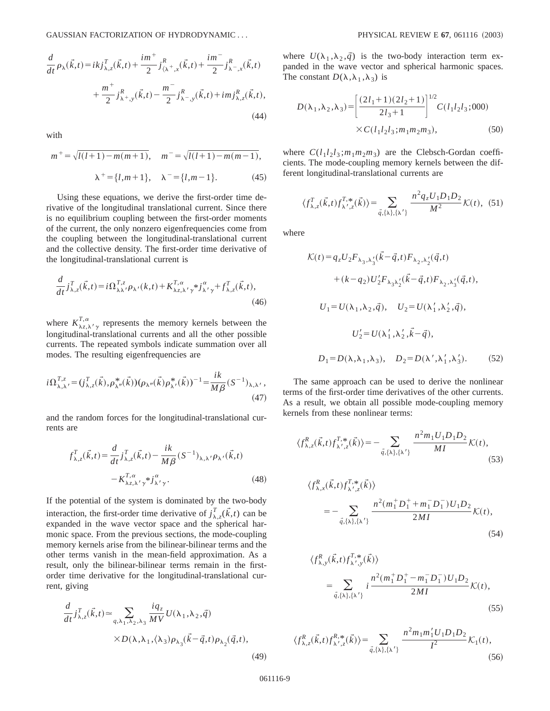$$
\frac{d}{dt}\rho_{\lambda}(\vec{k},t) = ikj_{\lambda,z}^{T}(\vec{k},t) + \frac{im^{+}}{2}j_{\langle\lambda^{+},x}^{R}(\vec{k},t) + \frac{im^{-}}{2}j_{\lambda^{-},x}^{R}(\vec{k},t) \n+ \frac{m^{+}}{2}j_{\lambda^{+},y}^{R}(\vec{k},t) - \frac{m^{-}}{2}j_{\lambda^{-},y}^{R}(\vec{k},t) + imj_{\lambda,z}^{R}(\vec{k},t),
$$
\n(44)

with

$$
m^{+} = \sqrt{l(l+1) - m(m+1)}, \quad m^{-} = \sqrt{l(l+1) - m(m-1)},
$$

$$
\lambda^{+} = \{l, m+1\}, \quad \lambda^{-} = \{l, m-1\}.
$$
 (45)

Using these equations, we derive the first-order time derivative of the longitudinal translational current. Since there is no equilibrium coupling between the first-order moments of the current, the only nonzero eigenfrequencies come from the coupling between the longitudinal-translational current and the collective density. The first-order time derivative of the longitudinal-translational current is

$$
\frac{d}{dt}j_{\lambda,z}^T(\vec{k},t) = i\Omega_{\lambda\lambda'}^{T,z}\rho_{\lambda'}(k,t) + K_{\lambda z,\lambda'\gamma}^{T,\alpha} * j_{\lambda'\gamma}^\alpha + f_{\lambda,z}^T(\vec{k},t),
$$
\n(46)

where  $K^{T,\alpha}_{\lambda,\lambda,\gamma}$  represents the memory kernels between the longitudinal-translational currents and all the other possible currents. The repeated symbols indicate summation over all modes. The resulting eigenfrequencies are

$$
i\Omega_{\lambda,\lambda'}^{T,z} = (j_{\lambda,z}^T(\vec{k}), \rho_{\lambda''}^*(\vec{k})) (\rho_{\lambda''}(\vec{k}) \rho_{\lambda'}^*(\vec{k}))^{-1} = \frac{ik}{M\beta} (S^{-1})_{\lambda,\lambda'},
$$
\n(47)

and the random forces for the longitudinal-translational currents are

$$
f_{\lambda,z}^T(\vec{k},t) = \frac{d}{dt} j_{\lambda,z}^T(\vec{k},t) - \frac{ik}{M\beta} (S^{-1})_{\lambda,\lambda'} \rho_{\lambda'}(\vec{k},t)
$$

$$
-K_{\lambda z,\lambda'\gamma}^{T,\alpha} \gamma^* j_{\lambda'\gamma}^{\alpha}.
$$
 (48)

If the potential of the system is dominated by the two-body interaction, the first-order time derivative of  $j_{\lambda,z}^T(\vec{k},t)$  can be expanded in the wave vector space and the spherical harmonic space. From the previous sections, the mode-coupling memory kernels arise from the bilinear-bilinear terms and the other terms vanish in the mean-field approximation. As a result, only the bilinear-bilinear terms remain in the firstorder time derivative for the longitudinal-translational current, giving

$$
\frac{d}{dt} j_{\lambda,z}^T(\vec{k},t) \approx \sum_{q,\lambda_1,\lambda_2,\lambda_3} \frac{iq_z}{MV} U(\lambda_1,\lambda_2,\vec{q})
$$

$$
\times D(\lambda,\lambda_1,\langle \lambda_3 \rangle \rho_{\lambda_3}(\vec{k}-\vec{q},t) \rho_{\lambda_2}(\vec{q},t),
$$

where  $U(\lambda_1, \lambda_2, \vec{q})$  is the two-body interaction term expanded in the wave vector and spherical harmonic spaces. The constant  $D(\lambda,\lambda_1,\lambda_3)$  is

$$
D(\lambda_1, \lambda_2, \lambda_3) = \left[ \frac{(2l_1 + 1)(2l_2 + 1)}{2l_3 + 1} \right]^{1/2} C(l_1 l_2 l_3; 000)
$$
  
× $C(l_1 l_2 l_3; m_1 m_2 m_3)$ , (50)

where  $C(l_1l_2l_3; m_1m_2m_3)$  are the Clebsch-Gordan coefficients. The mode-coupling memory kernels between the different longitudinal-translational currents are

$$
\langle f_{\lambda,z}^T(\vec{k},t) f_{\lambda',z}^{T,*}(\vec{k}) \rangle = \sum_{\vec{q}, \{\lambda\},\{\lambda'\}} \frac{n^2 q_z U_1 D_1 D_2}{M^2} \mathcal{K}(t), \tag{51}
$$

where

$$
\mathcal{K}(t) = q_z U_2 F_{\lambda_3, \lambda'_3}(\vec{k} - \vec{q}, t) F_{\lambda_2, \lambda'_2}(\vec{q}, t)
$$
  
+  $(k - q_2) U'_2 F_{\lambda_3 \lambda'_2}(\vec{k} - \vec{q}, t) F_{\lambda_2, \lambda'_3}(\vec{q}, t),$   
 $U_1 = U(\lambda_1, \lambda_2, \vec{q}), \quad U_2 = U(\lambda'_1, \lambda'_2, \vec{q}),$   
 $U'_2 = U(\lambda'_1, \lambda'_2, \vec{k} - \vec{q}),$   
 $D_1 = D(\lambda, \lambda_1, \lambda_3), \quad D_2 = D(\lambda', \lambda'_1, \lambda'_3).$  (52)

The same approach can be used to derive the nonlinear terms of the first-order time derivatives of the other currents. As a result, we obtain all possible mode-coupling memory kernels from these nonlinear terms:

$$
\langle f_{\lambda,z}^R(\vec{k},t) f_{\lambda',z}^{T,*}(\vec{k}) \rangle = - \sum_{\vec{q}, \{\lambda\}, \{\lambda'\}} \frac{n^2 m_1 U_1 D_1 D_2}{M I} \mathcal{K}(t),\tag{53}
$$

$$
\langle f_{\lambda,x}^{R}(\vec{k},t) f_{\lambda',z}^{T,*}(\vec{k}) \rangle
$$
  
= 
$$
- \sum_{\vec{q}, \{\lambda\}, \{\lambda'\}} \frac{n^2 (m_1^+ D_1^+ + m_1^- D_1^-) U_1 D_2}{2MI} \mathcal{K}(t),
$$
(54)

$$
\langle f_{\lambda,y}^{R}(\vec{k},t) f_{\lambda',y}^{T,*}(\vec{k}) \rangle
$$
  
= 
$$
\sum_{\vec{q}, \{\lambda\}, \{\lambda'\}} i \frac{n^2 (m_1^+ D_1^+ - m_1^- D_1^-) U_1 D_2}{2MI} \mathcal{K}(t),
$$
 (55)

$$
\langle f_{\lambda,z}^{R}(\vec{k},t) f_{\lambda',z}^{R,*}(\vec{k}) \rangle = \sum_{\vec{q}, \{\lambda\},\{\lambda'\}} \frac{n^2 m_1 m_1' U_1 D_1 D_2}{I^2} \mathcal{K}_1(t),\tag{56}
$$

 $(49)$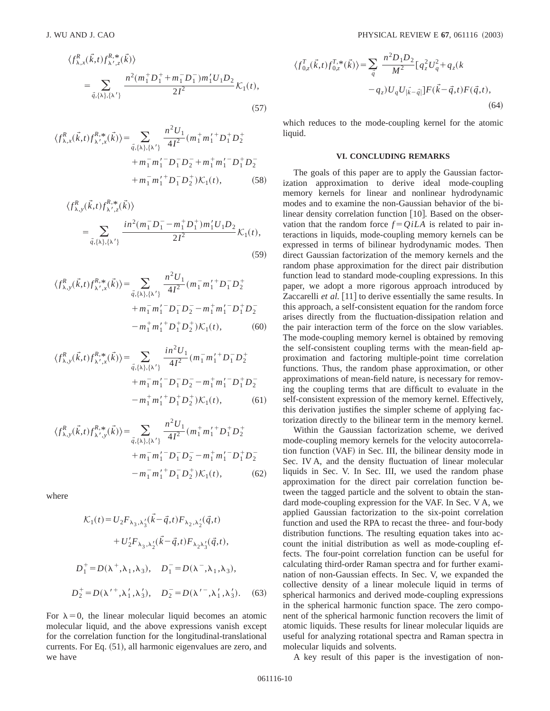$$
\langle f_{\lambda,x}^{R}(\vec{k},t) f_{\lambda',z}^{R,*}(\vec{k}) \rangle
$$
  
= 
$$
\sum_{\vec{q}, \{\lambda\}, \{\lambda'\}} \frac{n^2 (m_1^+ D_1^+ + m_1^- D_1^-) m_1' U_1 D_2}{2I^2} \mathcal{K}_1(t),
$$
  
(57)

$$
\langle f_{\lambda,x}^{R}(\vec{k},t)f_{\lambda',x}^{R,*}(\vec{k})\rangle = \sum_{\vec{q},\{\lambda\},\{\lambda'\}} \frac{n^2 U_1}{4I^2} (m_1^+ m_1^{\prime +} D_1^+ D_2^+ + m_1^- m_1^{\prime -} D_1^- D_2^- + m_1^+ m_1^{\prime -} D_1^+ D_2^- + m_1^- m_1^{\prime +} D_1^- D_2^+) \mathcal{K}_1(t), \qquad (58)
$$

$$
\langle f_{\lambda,y}^{R}(\vec{k},t) f_{\lambda',z}^{R,*}(\vec{k}) \rangle
$$
  
= 
$$
\sum_{\vec{q}, \{\lambda\}, \{\lambda'\}} \frac{in^2(m_1^- D_1^- - m_1^+ D_1^+) m_1' U_1 D_2}{2I^2} \mathcal{K}_1(t),
$$
 (59)

$$
\langle f_{\lambda,y}^{R}(\vec{k},t) f_{\lambda',x}^{R,*}(\vec{k}) \rangle = \sum_{\vec{q}, \{\lambda\}, \{\lambda'\}} \frac{n^2 U_1}{4I^2} (m_1^- m_1^{\prime +} D_1^- D_2^+ + m_1^- m_1^{\prime -} D_1^- D_2^- - m_1^+ m_1^{\prime -} D_1^+ D_2^- - m_1^+ m_1^{\prime -} D_1^+ D_2^-) K_1(t), \qquad (60)
$$

$$
\langle f_{\lambda,y}^{R}(\vec{k},t) f_{\lambda',x}^{R,*}(\vec{k}) \rangle = \sum_{\vec{q}, \{\lambda\},\{\lambda'\}} \frac{in^2 U_1}{4I^2} (m_1^- m_1^{\prime +} D_1^- D_2^+ + m_1^- m_1^{\prime -} D_1^- D_2^- - m_1^+ m_1^{\prime -} D_1^+ D_2^- - m_1^+ m_1^{\prime +} D_1^+ D_2^+) \mathcal{K}_1(t), \qquad (61)
$$

$$
\langle f_{\lambda,y}^{R}(\vec{k},t) f_{\lambda',y}^{R,*}(\vec{k}) \rangle = \sum_{\vec{q}, \{\lambda\}, \{\lambda'\}} \frac{n^2 U_1}{4I^2} (m_1^+ m_1^{\prime +} D_1^+ D_2^+ + m_1^- m_1^{\prime -} D_1^- D_2^- - m_1^+ m_1^{\prime -} D_1^+ D_2^- - m_1^- m_1^{\prime +} D_1^- D_2^+) \mathcal{K}_1(t), \tag{62}
$$

where

$$
\mathcal{K}_1(t) = U_2 F_{\lambda_3, \lambda'_3}(\vec{k} - \vec{q}, t) F_{\lambda_2, \lambda'_2}(\vec{q}, t) \n+ U'_2 F_{\lambda_3, \lambda'_2}(\vec{k} - \vec{q}, t) F_{\lambda_2 \lambda'_3}(\vec{q}, t), \nD_1^+ = D(\lambda^+, \lambda_1, \lambda_3), \quad D_1^- = D(\lambda^-, \lambda_1, \lambda_3), \nD_2^+ = D(\lambda'^+, \lambda'_1, \lambda'_3), \quad D_2^- = D(\lambda'^-, \lambda'_1, \lambda'_3).
$$
\n(63)

For  $\lambda = 0$ , the linear molecular liquid becomes an atomic molecular liquid, and the above expressions vanish except for the correlation function for the longitudinal-translational currents. For Eq.  $(51)$ , all harmonic eigenvalues are zero, and we have

$$
\langle f_{0,z}^T(\vec{k},t) f_{0,z}^{T,*}(\vec{k}) \rangle = \sum_{\vec{q}} \frac{n^2 D_1 D_2}{M^2} [q_z^2 U_q^2 + q_z (k - q_z) U_q U_{|\vec{k} - \vec{q}|}] F(\vec{k} - \vec{q},t) F(\vec{q},t),
$$
\n(64)

which reduces to the mode-coupling kernel for the atomic liquid.

#### **VI. CONCLUDING REMARKS**

The goals of this paper are to apply the Gaussian factorization approximation to derive ideal mode-coupling memory kernels for linear and nonlinear hydrodynamic modes and to examine the non-Gaussian behavior of the bilinear density correlation function  $[10]$ . Based on the observation that the random force  $f = OiLA$  is related to pair interactions in liquids, mode-coupling memory kernels can be expressed in terms of bilinear hydrodynamic modes. Then direct Gaussian factorization of the memory kernels and the random phase approximation for the direct pair distribution function lead to standard mode-coupling expressions. In this paper, we adopt a more rigorous approach introduced by Zaccarelli *et al.* [11] to derive essentially the same results. In this approach, a self-consistent equation for the random force arises directly from the fluctuation-dissipation relation and the pair interaction term of the force on the slow variables. The mode-coupling memory kernel is obtained by removing the self-consistent coupling terms with the mean-field approximation and factoring multiple-point time correlation functions. Thus, the random phase approximation, or other approximations of mean-field nature, is necessary for removing the coupling terms that are difficult to evaluate in the self-consistent expression of the memory kernel. Effectively, this derivation justifies the simpler scheme of applying factorization directly to the bilinear term in the memory kernel.

Within the Gaussian factorization scheme, we derived mode-coupling memory kernels for the velocity autocorrelation function (VAF) in Sec. III, the bilinear density mode in Sec. IV A, and the density fluctuation of linear molecular liquids in Sec. V. In Sec. III, we used the random phase approximation for the direct pair correlation function between the tagged particle and the solvent to obtain the standard mode-coupling expression for the VAF. In Sec. V A, we applied Gaussian factorization to the six-point correlation function and used the RPA to recast the three- and four-body distribution functions. The resulting equation takes into account the initial distribution as well as mode-coupling effects. The four-point correlation function can be useful for calculating third-order Raman spectra and for further examination of non-Gaussian effects. In Sec. V, we expanded the collective density of a linear molecule liquid in terms of spherical harmonics and derived mode-coupling expressions in the spherical harmonic function space. The zero component of the spherical harmonic function recovers the limit of atomic liquids. These results for linear molecular liquids are useful for analyzing rotational spectra and Raman spectra in molecular liquids and solvents.

A key result of this paper is the investigation of non-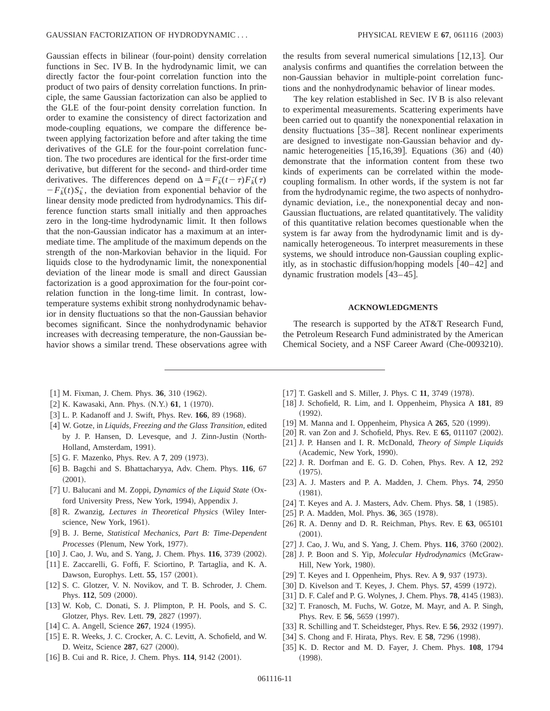Gaussian effects in bilinear (four-point) density correlation functions in Sec. IV B. In the hydrodynamic limit, we can directly factor the four-point correlation function into the product of two pairs of density correlation functions. In principle, the same Gaussian factorization can also be applied to the GLE of the four-point density correlation function. In order to examine the consistency of direct factorization and mode-coupling equations, we compare the difference between applying factorization before and after taking the time derivatives of the GLE for the four-point correlation function. The two procedures are identical for the first-order time derivative, but different for the second- and third-order time derivatives. The differences depend on  $\Delta = F_k^{\dagger}(t-\tau)F_k^{\dagger}(\tau)$  $-F_{k}(t)S_{k}$ , the deviation from exponential behavior of the linear density mode predicted from hydrodynamics. This difference function starts small initially and then approaches zero in the long-time hydrodynamic limit. It then follows that the non-Gaussian indicator has a maximum at an intermediate time. The amplitude of the maximum depends on the strength of the non-Markovian behavior in the liquid. For liquids close to the hydrodynamic limit, the nonexponential deviation of the linear mode is small and direct Gaussian factorization is a good approximation for the four-point correlation function in the long-time limit. In contrast, lowtemperature systems exhibit strong nonhydrodynamic behavior in density fluctuations so that the non-Gaussian behavior becomes significant. Since the nonhydrodynamic behavior increases with decreasing temperature, the non-Gaussian behavior shows a similar trend. These observations agree with

- $[1]$  M. Fixman, J. Chem. Phys. **36**, 310  $(1962)$ .
- [2] K. Kawasaki, Ann. Phys. (N.Y.) 61, 1 (1970).
- [3] L. P. Kadanoff and J. Swift, Phys. Rev. 166, 89 (1968).
- [4] W. Gotze, in *Liquids, Freezing and the Glass Transition*, edited by J. P. Hansen, D. Levesque, and J. Zinn-Justin (North-Holland, Amsterdam, 1991).
- [5] G. F. Mazenko, Phys. Rev. A 7, 209 (1973).
- @6# B. Bagchi and S. Bhattacharyya, Adv. Chem. Phys. **116**, 67  $(2001).$
- [7] U. Balucani and M. Zoppi, *Dynamics of the Liquid State* (Oxford University Press, New York, 1994), Appendix J.
- [8] R. Zwanzig, *Lectures in Theoretical Physics* (Wiley Interscience, New York, 1961).
- @9# B. J. Berne, *Statistical Mechanics, Part B: Time-Dependent Processes* (Plenum, New York, 1977).
- $\lceil 10 \rceil$  J. Cao, J. Wu, and S. Yang, J. Chem. Phys. **116**, 3739  $(2002)$ .
- [11] E. Zaccarelli, G. Foffi, F. Sciortino, P. Tartaglia, and K. A. Dawson, Europhys. Lett. **55**, 157 (2001).
- [12] S. C. Glotzer, V. N. Novikov, and T. B. Schroder, J. Chem. Phys. 112, 509 (2000).
- [13] W. Kob, C. Donati, S. J. Plimpton, P. H. Pools, and S. C. Glotzer, Phys. Rev. Lett. **79**, 2827 (1997).
- [14] C. A. Angell, Science **267**, 1924 (1995).
- [15] E. R. Weeks, J. C. Crocker, A. C. Levitt, A. Schofield, and W. D. Weitz, Science 287, 627 (2000).
- [16] B. Cui and R. Rice, J. Chem. Phys. 114, 9142 (2001).

 $[17]$  T. Gaskell and S. Miller, J. Phys. C 11, 3749  $(1978)$ .

dynamic frustration models  $[43-45]$ .

[18] J. Schofield, R. Lim, and I. Oppenheim, Physica A 181, 89  $(1992).$ 

**ACKNOWLEDGMENTS** The research is supported by the AT&T Research Fund, the Petroleum Research Fund administrated by the American Chemical Society, and a NSF Career Award (Che-0093210).

- [19] M. Manna and I. Oppenheim, Physica A **265**, 520 (1999).
- [20] R. van Zon and J. Schofield, Phys. Rev. E 65, 011107 (2002).
- [21] J. P. Hansen and I. R. McDonald, *Theory of Simple Liquids* (Academic, New York, 1990).
- [22] J. R. Dorfman and E. G. D. Cohen, Phys. Rev. A 12, 292  $(1975).$
- [23] A. J. Masters and P. A. Madden, J. Chem. Phys. **74**, 2950  $(1981).$
- [24] T. Keyes and A. J. Masters, Adv. Chem. Phys. **58**, 1 (1985).
- [25] P. A. Madden, Mol. Phys. **36**, 365 (1978).
- [26] R. A. Denny and D. R. Reichman, Phys. Rev. E 63, 065101  $(2001).$
- [27] J. Cao, J. Wu, and S. Yang, J. Chem. Phys. **116**, 3760 (2002).
- [28] J. P. Boon and S. Yip, *Molecular Hydrodynamics* (McGraw-Hill, New York, 1980).
- [29] T. Keyes and I. Oppenheim, Phys. Rev. A 9, 937 (1973).
- [30] D. Kivelson and T. Keyes, J. Chem. Phys. **57**, 4599 (1972).
- [31] D. F. Calef and P. G. Wolynes, J. Chem. Phys. **78**, 4145 (1983).
- [32] T. Franosch, M. Fuchs, W. Gotze, M. Mayr, and A. P. Singh, Phys. Rev. E 56, 5659 (1997).
- [33] R. Schilling and T. Scheidsteger, Phys. Rev. E 56, 2932 (1997).
- [34] S. Chong and F. Hirata, Phys. Rev. E **58**, 7296 (1998).
- [35] K. D. Rector and M. D. Fayer, J. Chem. Phys. **108**, 1794  $(1998).$

non-Gaussian behavior in multiple-point correlation functions and the nonhydrodynamic behavior of linear modes. The key relation established in Sec. IV B is also relevant to experimental measurements. Scattering experiments have been carried out to quantify the nonexponential relaxation in density fluctuations [35–38]. Recent nonlinear experiments are designed to investigate non-Gaussian behavior and dynamic heterogeneities  $(15,16,39)$ . Equations  $(36)$  and  $(40)$ demonstrate that the information content from these two kinds of experiments can be correlated within the modecoupling formalism. In other words, if the system is not far from the hydrodynamic regime, the two aspects of nonhydrodynamic deviation, i.e., the nonexponential decay and non-Gaussian fluctuations, are related quantitatively. The validity of this quantitative relation becomes questionable when the system is far away from the hydrodynamic limit and is dynamically heterogeneous. To interpret measurements in these systems, we should introduce non-Gaussian coupling explicitly, as in stochastic diffusion/hopping models  $[40-42]$  and